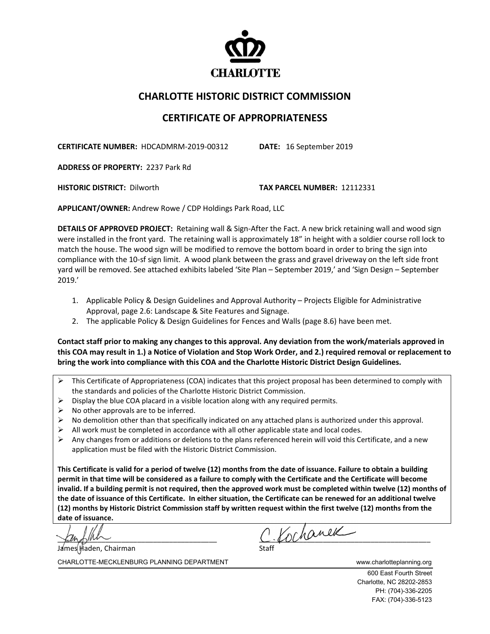

## **CHARLOTTE HISTORIC DISTRICT COMMISSION**

## **CERTIFICATE OF APPROPRIATENESS**

**CERTIFICATE NUMBER:** HDCADMRM-2019-00312 **DATE:** 16 September 2019

**ADDRESS OF PROPERTY:** 2237 Park Rd

**HISTORIC DISTRICT:** Dilworth **TAX PARCEL NUMBER:** 12112331

**APPLICANT/OWNER:** Andrew Rowe / CDP Holdings Park Road, LLC

**DETAILS OF APPROVED PROJECT:** Retaining wall & Sign-After the Fact. A new brick retaining wall and wood sign were installed in the front yard. The retaining wall is approximately 18" in height with a soldier course roll lock to match the house. The wood sign will be modified to remove the bottom board in order to bring the sign into compliance with the 10-sf sign limit. A wood plank between the grass and gravel driveway on the left side front yard will be removed. See attached exhibits labeled 'Site Plan – September 2019,' and 'Sign Design – September 2019.'

- 1. Applicable Policy & Design Guidelines and Approval Authority Projects Eligible for Administrative Approval, page 2.6: Landscape & Site Features and Signage.
- 2. The applicable Policy & Design Guidelines for Fences and Walls (page 8.6) have been met.

**Contact staff prior to making any changes to this approval. Any deviation from the work/materials approved in this COA may result in 1.) a Notice of Violation and Stop Work Order, and 2.) required removal or replacement to bring the work into compliance with this COA and the Charlotte Historic District Design Guidelines.**

- $\triangleright$  This Certificate of Appropriateness (COA) indicates that this project proposal has been determined to comply with the standards and policies of the Charlotte Historic District Commission.
- $\triangleright$  Display the blue COA placard in a visible location along with any required permits.
- $\triangleright$  No other approvals are to be inferred.
- $\triangleright$  No demolition other than that specifically indicated on any attached plans is authorized under this approval.
- $\triangleright$  All work must be completed in accordance with all other applicable state and local codes.
- $\triangleright$  Any changes from or additions or deletions to the plans referenced herein will void this Certificate, and a new application must be filed with the Historic District Commission.

**This Certificate is valid for a period of twelve (12) months from the date of issuance. Failure to obtain a building permit in that time will be considered as a failure to comply with the Certificate and the Certificate will become invalid. If a building permit is not required, then the approved work must be completed within twelve (12) months of the date of issuance of this Certificate. In either situation, the Certificate can be renewed for an additional twelve (12) months by Historic District Commission staff by written request within the first twelve (12) months from the date of issuance.**

James Haden, Chairman

 $C$  Kochanek

CHARLOTTE-MECKLENBURG PLANNING DEPARTMENT WWW.charlotteplanning.org

600 East Fourth Street Charlotte, NC 28202-2853 PH: (704)-336-2205 FAX: (704)-336-5123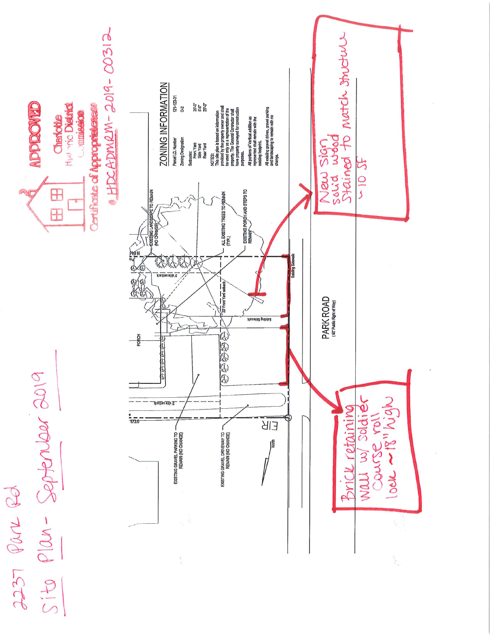

PO NOB LECE